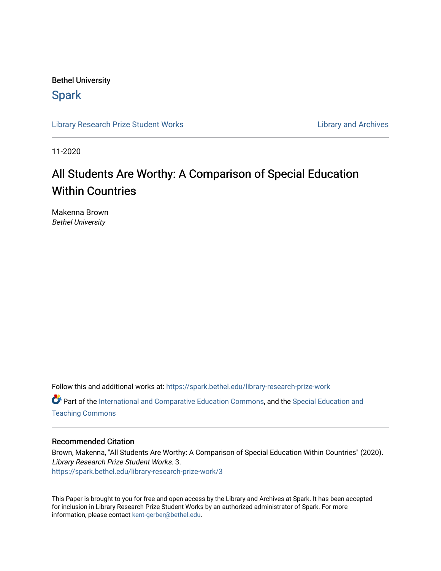Bethel University

# **Spark**

[Library Research Prize Student Works](https://spark.bethel.edu/library-research-prize-work) **Library Access 2018** Library and Archives

11-2020

# All Students Are Worthy: A Comparison of Special Education Within Countries

Makenna Brown Bethel University

Follow this and additional works at: [https://spark.bethel.edu/library-research-prize-work](https://spark.bethel.edu/library-research-prize-work?utm_source=spark.bethel.edu%2Flibrary-research-prize-work%2F3&utm_medium=PDF&utm_campaign=PDFCoverPages)  Part of the [International and Comparative Education Commons,](http://network.bepress.com/hgg/discipline/797?utm_source=spark.bethel.edu%2Flibrary-research-prize-work%2F3&utm_medium=PDF&utm_campaign=PDFCoverPages) and the [Special Education and](http://network.bepress.com/hgg/discipline/801?utm_source=spark.bethel.edu%2Flibrary-research-prize-work%2F3&utm_medium=PDF&utm_campaign=PDFCoverPages)  [Teaching Commons](http://network.bepress.com/hgg/discipline/801?utm_source=spark.bethel.edu%2Flibrary-research-prize-work%2F3&utm_medium=PDF&utm_campaign=PDFCoverPages)

## Recommended Citation

Brown, Makenna, "All Students Are Worthy: A Comparison of Special Education Within Countries" (2020). Library Research Prize Student Works. 3. [https://spark.bethel.edu/library-research-prize-work/3](https://spark.bethel.edu/library-research-prize-work/3?utm_source=spark.bethel.edu%2Flibrary-research-prize-work%2F3&utm_medium=PDF&utm_campaign=PDFCoverPages)

This Paper is brought to you for free and open access by the Library and Archives at Spark. It has been accepted for inclusion in Library Research Prize Student Works by an authorized administrator of Spark. For more information, please contact [kent-gerber@bethel.edu.](mailto:kent-gerber@bethel.edu)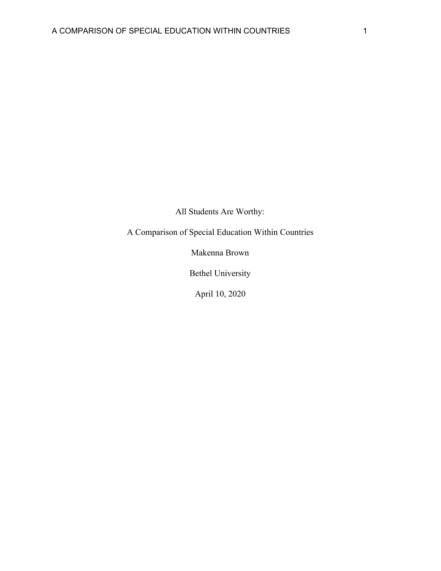All Students Are Worthy:

A Comparison of Special Education Within Countries

Makenna Brown

Bethel University

April 10, 2020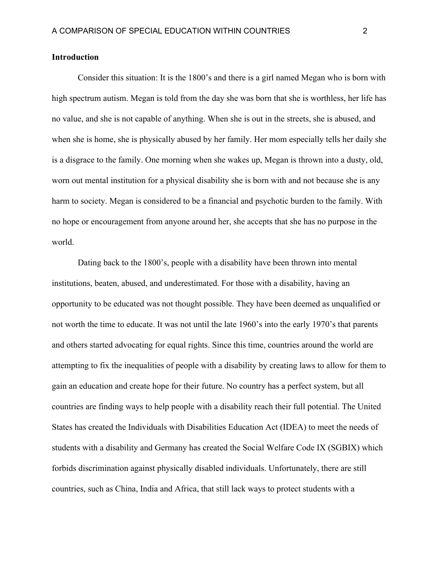# **Introduction**

Consider this situation: It is the 1800's and there is a girl named Megan who is born with high spectrum autism. Megan is told from the day she was born that she is worthless, her life has no value, and she is not capable of anything. When she is out in the streets, she is abused, and when she is home, she is physically abused by her family. Her mom especially tells her daily she is a disgrace to the family. One morning when she wakes up, Megan is thrown into a dusty, old, worn out mental institution for a physical disability she is born with and not because she is any harm to society. Megan is considered to be a financial and psychotic burden to the family. With no hope or encouragement from anyone around her, she accepts that she has no purpose in the world.

Dating back to the 1800's, people with a disability have been thrown into mental institutions, beaten, abused, and underestimated. For those with a disability, having an opportunity to be educated was not thought possible. They have been deemed as unqualified or not worth the time to educate. It was not until the late 1960's into the early 1970's that parents and others started advocating for equal rights. Since this time, countries around the world are attempting to fix the inequalities of people with a disability by creating laws to allow for them to gain an education and create hope for their future. No country has a perfect system, but all countries are finding ways to help people with a disability reach their full potential. The United States has created the Individuals with Disabilities Education Act (IDEA) to meet the needs of students with a disability and Germany has created the Social Welfare Code IX (SGBIX) which forbids discrimination against physically disabled individuals. Unfortunately, there are still countries, such as China, India and Africa, that still lack ways to protect students with a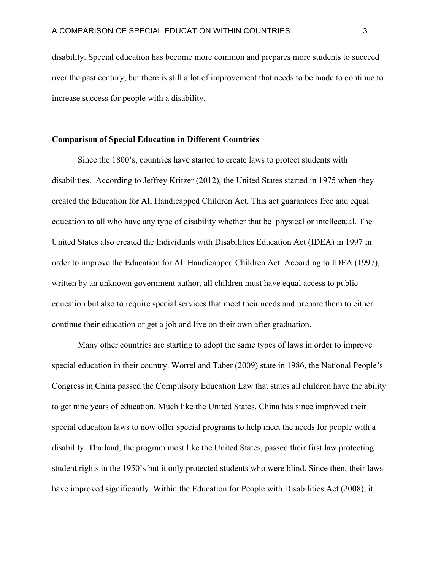disability. Special education has become more common and prepares more students to succeed over the past century, but there is still a lot of improvement that needs to be made to continue to increase success for people with a disability.

## **Comparison of Special Education in Different Countries**

Since the 1800's, countries have started to create laws to protect students with disabilities. According to Jeffrey Kritzer (2012), the United States started in 1975 when they created the Education for All Handicapped Children Act. This act guarantees free and equal education to all who have any type of disability whether that be physical or intellectual. The United States also created the Individuals with Disabilities Education Act (IDEA) in 1997 in order to improve the Education for All Handicapped Children Act. According to IDEA (1997), written by an unknown government author, all children must have equal access to public education but also to require special services that meet their needs and prepare them to either continue their education or get a job and live on their own after graduation.

Many other countries are starting to adopt the same types of laws in order to improve special education in their country. Worrel and Taber (2009) state in 1986, the National People's Congress in China passed the Compulsory Education Law that states all children have the ability to get nine years of education. Much like the United States, China has since improved their special education laws to now offer special programs to help meet the needs for people with a disability. Thailand, the program most like the United States, passed their first law protecting student rights in the 1950's but it only protected students who were blind. Since then, their laws have improved significantly. Within the Education for People with Disabilities Act (2008), it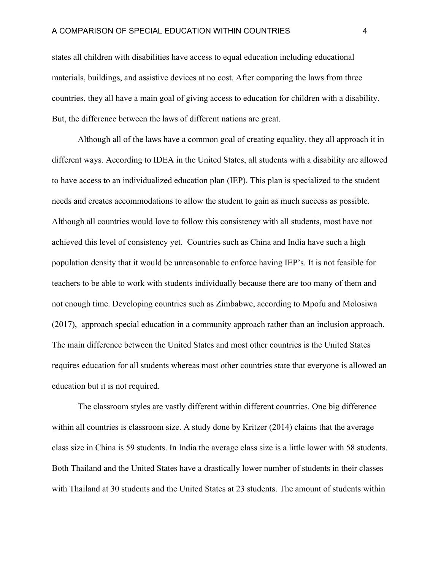states all children with disabilities have access to equal education including educational materials, buildings, and assistive devices at no cost. After comparing the laws from three countries, they all have a main goal of giving access to education for children with a disability. But, the difference between the laws of different nations are great.

Although all of the laws have a common goal of creating equality, they all approach it in different ways. According to IDEA in the United States, all students with a disability are allowed to have access to an individualized education plan (IEP). This plan is specialized to the student needs and creates accommodations to allow the student to gain as much success as possible. Although all countries would love to follow this consistency with all students, most have not achieved this level of consistency yet. Countries such as China and India have such a high population density that it would be unreasonable to enforce having IEP's. It is not feasible for teachers to be able to work with students individually because there are too many of them and not enough time. Developing countries such as Zimbabwe, according to Mpofu and Molosiwa (2017), approach special education in a community approach rather than an inclusion approach. The main difference between the United States and most other countries is the United States requires education for all students whereas most other countries state that everyone is allowed an education but it is not required.

The classroom styles are vastly different within different countries. One big difference within all countries is classroom size. A study done by Kritzer (2014) claims that the average class size in China is 59 students. In India the average class size is a little lower with 58 students. Both Thailand and the United States have a drastically lower number of students in their classes with Thailand at 30 students and the United States at 23 students. The amount of students within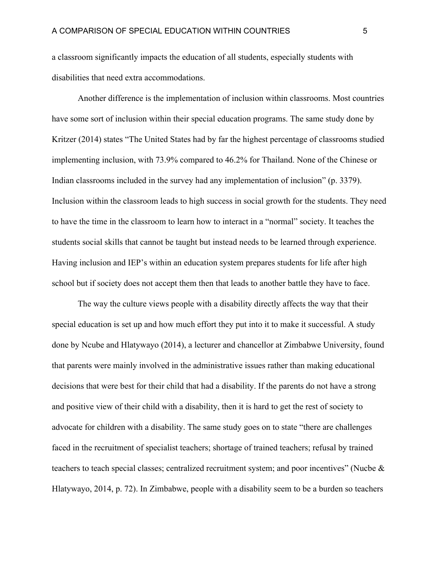a classroom significantly impacts the education of all students, especially students with disabilities that need extra accommodations.

Another difference is the implementation of inclusion within classrooms. Most countries have some sort of inclusion within their special education programs. The same study done by Kritzer (2014) states "The United States had by far the highest percentage of classrooms studied implementing inclusion, with 73.9% compared to 46.2% for Thailand. None of the Chinese or Indian classrooms included in the survey had any implementation of inclusion" (p. 3379). Inclusion within the classroom leads to high success in social growth for the students. They need to have the time in the classroom to learn how to interact in a "normal" society. It teaches the students social skills that cannot be taught but instead needs to be learned through experience. Having inclusion and IEP's within an education system prepares students for life after high school but if society does not accept them then that leads to another battle they have to face.

The way the culture views people with a disability directly affects the way that their special education is set up and how much effort they put into it to make it successful. A study done by Ncube and Hlatywayo (2014), a lecturer and chancellor at Zimbabwe University, found that parents were mainly involved in the administrative issues rather than making educational decisions that were best for their child that had a disability. If the parents do not have a strong and positive view of their child with a disability, then it is hard to get the rest of society to advocate for children with a disability. The same study goes on to state "there are challenges faced in the recruitment of specialist teachers; shortage of trained teachers; refusal by trained teachers to teach special classes; centralized recruitment system; and poor incentives" (Nucbe & Hlatywayo, 2014, p. 72). In Zimbabwe, people with a disability seem to be a burden so teachers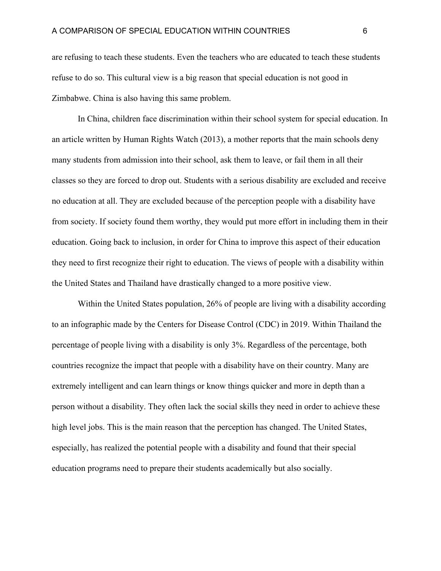are refusing to teach these students. Even the teachers who are educated to teach these students refuse to do so. This cultural view is a big reason that special education is not good in Zimbabwe. China is also having this same problem.

In China, children face discrimination within their school system for special education. In an article written by Human Rights Watch (2013), a mother reports that the main schools deny many students from admission into their school, ask them to leave, or fail them in all their classes so they are forced to drop out. Students with a serious disability are excluded and receive no education at all. They are excluded because of the perception people with a disability have from society. If society found them worthy, they would put more effort in including them in their education. Going back to inclusion, in order for China to improve this aspect of their education they need to first recognize their right to education. The views of people with a disability within the United States and Thailand have drastically changed to a more positive view.

Within the United States population, 26% of people are living with a disability according to an infographic made by the Centers for Disease Control (CDC) in 2019. Within Thailand the percentage of people living with a disability is only 3%. Regardless of the percentage, both countries recognize the impact that people with a disability have on their country. Many are extremely intelligent and can learn things or know things quicker and more in depth than a person without a disability. They often lack the social skills they need in order to achieve these high level jobs. This is the main reason that the perception has changed. The United States, especially, has realized the potential people with a disability and found that their special education programs need to prepare their students academically but also socially.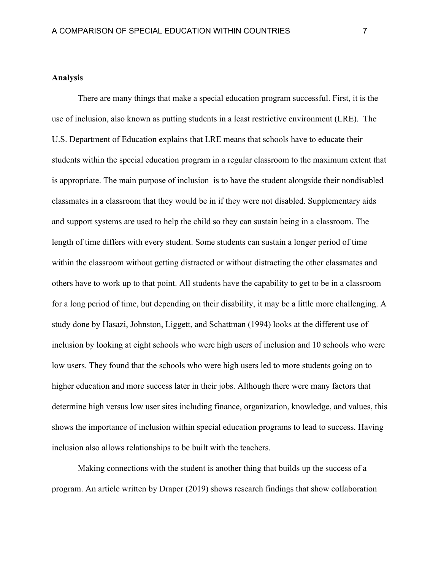#### **Analysis**

There are many things that make a special education program successful. First, it is the use of inclusion, also known as putting students in a least restrictive environment (LRE). The U.S. Department of Education explains that LRE means that schools have to educate their students within the special education program in a regular classroom to the maximum extent that is appropriate. The main purpose of inclusion is to have the student alongside their nondisabled classmates in a classroom that they would be in if they were not disabled. Supplementary aids and support systems are used to help the child so they can sustain being in a classroom. The length of time differs with every student. Some students can sustain a longer period of time within the classroom without getting distracted or without distracting the other classmates and others have to work up to that point. All students have the capability to get to be in a classroom for a long period of time, but depending on their disability, it may be a little more challenging. A study done by Hasazi, Johnston, Liggett, and Schattman (1994) looks at the different use of inclusion by looking at eight schools who were high users of inclusion and 10 schools who were low users. They found that the schools who were high users led to more students going on to higher education and more success later in their jobs. Although there were many factors that determine high versus low user sites including finance, organization, knowledge, and values, this shows the importance of inclusion within special education programs to lead to success. Having inclusion also allows relationships to be built with the teachers.

Making connections with the student is another thing that builds up the success of a program. An article written by Draper (2019) shows research findings that show collaboration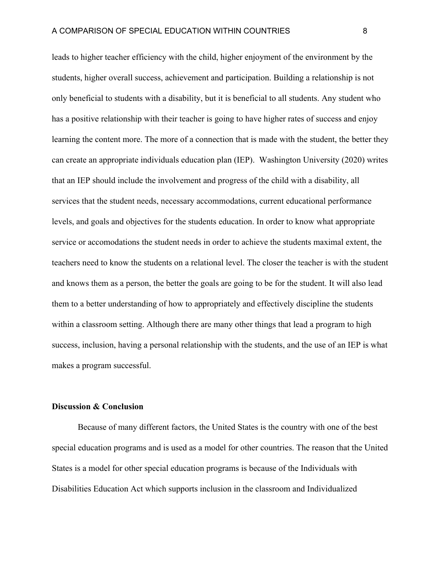leads to higher teacher efficiency with the child, higher enjoyment of the environment by the students, higher overall success, achievement and participation. Building a relationship is not only beneficial to students with a disability, but it is beneficial to all students. Any student who has a positive relationship with their teacher is going to have higher rates of success and enjoy learning the content more. The more of a connection that is made with the student, the better they can create an appropriate individuals education plan (IEP). Washington University (2020) writes that an IEP should include the involvement and progress of the child with a disability, all services that the student needs, necessary accommodations, current educational performance levels, and goals and objectives for the students education. In order to know what appropriate service or accomodations the student needs in order to achieve the students maximal extent, the teachers need to know the students on a relational level. The closer the teacher is with the student and knows them as a person, the better the goals are going to be for the student. It will also lead them to a better understanding of how to appropriately and effectively discipline the students within a classroom setting. Although there are many other things that lead a program to high success, inclusion, having a personal relationship with the students, and the use of an IEP is what makes a program successful.

#### **Discussion & Conclusion**

Because of many different factors, the United States is the country with one of the best special education programs and is used as a model for other countries. The reason that the United States is a model for other special education programs is because of the Individuals with Disabilities Education Act which supports inclusion in the classroom and Individualized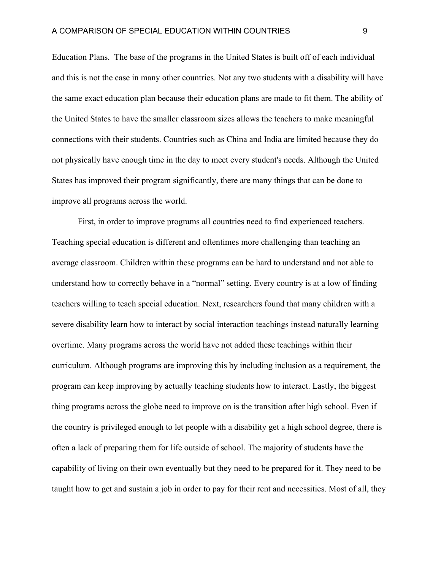Education Plans. The base of the programs in the United States is built off of each individual and this is not the case in many other countries. Not any two students with a disability will have the same exact education plan because their education plans are made to fit them. The ability of the United States to have the smaller classroom sizes allows the teachers to make meaningful connections with their students. Countries such as China and India are limited because they do not physically have enough time in the day to meet every student's needs. Although the United States has improved their program significantly, there are many things that can be done to improve all programs across the world.

First, in order to improve programs all countries need to find experienced teachers. Teaching special education is different and oftentimes more challenging than teaching an average classroom. Children within these programs can be hard to understand and not able to understand how to correctly behave in a "normal" setting. Every country is at a low of finding teachers willing to teach special education. Next, researchers found that many children with a severe disability learn how to interact by social interaction teachings instead naturally learning overtime. Many programs across the world have not added these teachings within their curriculum. Although programs are improving this by including inclusion as a requirement, the program can keep improving by actually teaching students how to interact. Lastly, the biggest thing programs across the globe need to improve on is the transition after high school. Even if the country is privileged enough to let people with a disability get a high school degree, there is often a lack of preparing them for life outside of school. The majority of students have the capability of living on their own eventually but they need to be prepared for it. They need to be taught how to get and sustain a job in order to pay for their rent and necessities. Most of all, they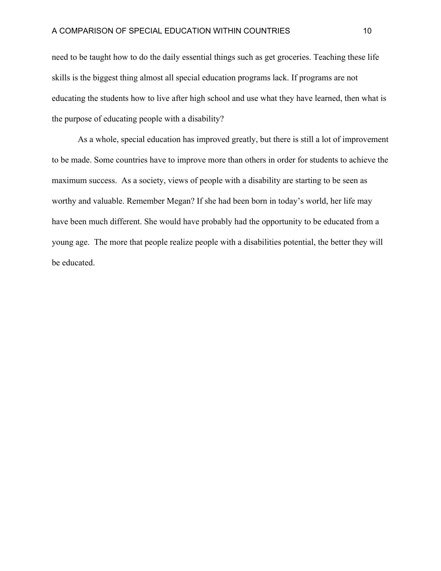need to be taught how to do the daily essential things such as get groceries. Teaching these life skills is the biggest thing almost all special education programs lack. If programs are not educating the students how to live after high school and use what they have learned, then what is the purpose of educating people with a disability?

As a whole, special education has improved greatly, but there is still a lot of improvement to be made. Some countries have to improve more than others in order for students to achieve the maximum success. As a society, views of people with a disability are starting to be seen as worthy and valuable. Remember Megan? If she had been born in today's world, her life may have been much different. She would have probably had the opportunity to be educated from a young age. The more that people realize people with a disabilities potential, the better they will be educated.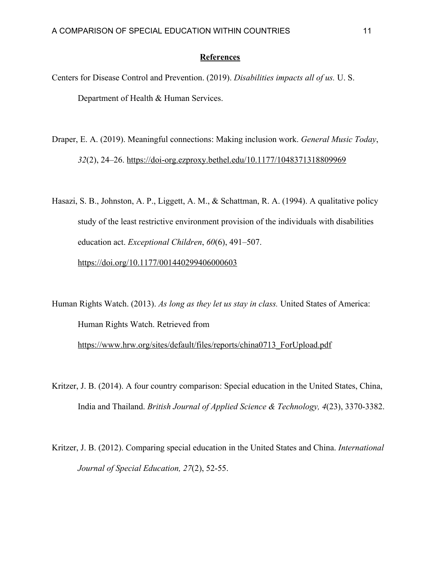#### **References**

- Centers for Disease Control and Prevention. (2019). *Disabilities impacts all of us.* U. S. Department of Health & Human Services.
- Draper, E. A. (2019). Meaningful connections: Making inclusion work. *General Music Today*, *32*(2), 24–26. <https://doi-org.ezproxy.bethel.edu/10.1177/1048371318809969>
- Hasazi, S. B., Johnston, A. P., Liggett, A. M., & Schattman, R. A. (1994). A qualitative policy study of the least restrictive environment provision of the individuals with disabilities education act. *Exceptional Children*, *60*(6), 491–507.

<https://doi.org/10.1177/001440299406000603>

Human Rights Watch. (2013). *As long as they let us stay in class.* United States of America: Human Rights Watch. Retrieved from [https://www.hrw.org/sites/default/files/reports/china0713\\_ForUpload.pdf](https://www.hrw.org/sites/default/files/reports/china0713_ForUpload.pdf)

- Kritzer, J. B. (2014). A four country comparison: Special education in the United States, China, India and Thailand. *British Journal of Applied Science & Technology, 4*(23), 3370-3382.
- Kritzer, J. B. (2012). Comparing special education in the United States and China. *International Journal of Special Education, 27*(2), 52-55.